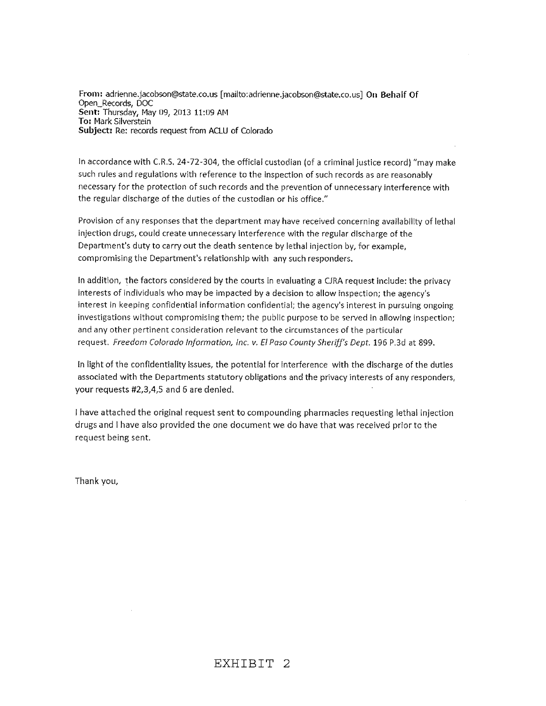**From: adriennejacobson@state.co.us** [mailto: **adriennejacobson@state.co.us] On Behalf Of Open\_Records, DOC Sent: Thursday,** May **f)9, 2013 11:09 AM To:** Mark **Silverstein Subject: Re: records request from** ACLU **of** Colorado

**In accordance** with **CR.S. 24-72-304,** the official **custodian (of a criminal justice record)** "may **make** such rules **and** regulations with reference to the Inspection **of** such **records as** are. **reasonably** necessary for the protection of such **records** and the prevention of unnecessary interference with the regular discharge of the duties of the custodian or his office."

Provision of any responses that the department may have received concerning availability of lethal injection drugs, could create unnecessary Interference with the regular discharge of the Department's duty to carry out the death sentence by lethal injection by, for example, compromising the Department's relationship with any such responders.

In addition, the factors considered by the courts in evaluating a CJRA request include: the privacy interests of individuals who may be impacted by a decision to allow inspection; the agency's interest in keeping confidential information confidential; the agency's interest in pursuing ongoing investigations without compromising them; the public purpose to be served in allowing inspection; and any other pertinent consideration relevant **to** the circumstances of the particular request. Freedom Colorado Information, Inc. v. El Paso County Sheriff's Dept. 196 P.3d at 899.

In light of the confidentiality issues, the potential for interference with the discharge of the duties associated with the Departments statutory obligations and the privacy interests of any responders, your requests #2,3,4,5 and **6** are denied.

I have attached the **original request** sent **to compounding pharmacies** requesting lethal injection drugs and **<sup>I</sup>** have also provided the one document we do have that was received prior to the request being sent.

Thank you,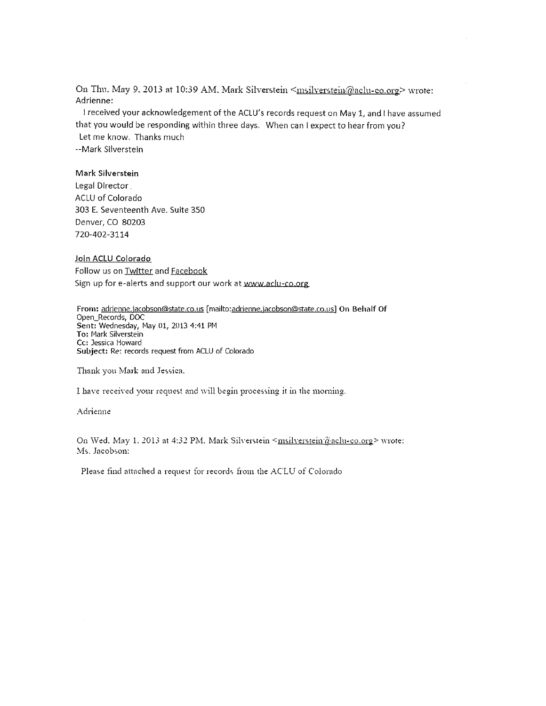On Thu. May 9, 2013 at 10:39 AM, Mark Silverstein <msilverstein@aclu-co.org> wrote: Adrienne; I received your acknowledgement of the ACLU's records request on May 1, and have *assumed*

that you would be responding within three days. When can I expect to hear from you? Let me know. Thanks much

--Mark Silverstein

## Mark Silverstein

Legal Director ACLU of Colorado 303 E. Seventeenth Ave. Suite 350 Denver, CO 80203 720-402-3114

## Join ACLU Colorado Follow us on Twitter and Facebook Sign up for e-alerts and support our work at www.aclu-co.org.

From: adrienne.jacobson@state.co.us [mailto:adrienne.jacobson@state.co.us] On Behalf Of Open\_Records, DOC Sent: Wednesday, May 01, 2013 4:41 PM To: Mark Silverstein **Cc:** Jessica Howard **Subject:** Re: records request from ACLU of Colorado

Thank you Mark and Jessica,

I have received your request and vil1 begin **processing** it in the rnomin

## Adrienne

On Wed. May 1. 2013 at 4:32 PM. Mark Silverstein <msilverstein@aclu-co.org> wrote: Ms. Jacobson:

Please find attached a request for records from the ACLU of Colorado